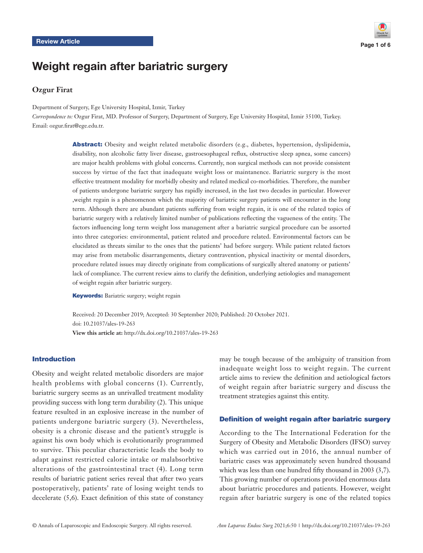

# Weight regain after bariatric surgery

# **Ozgur Firat**

Department of Surgery, Ege University Hospital, Izmir, Turkey

*Correspondence to:* Ozgur Firat, MD. Professor of Surgery, Department of Surgery, Ege University Hospital, Izmir 35100, Turkey. Email: ozgur.firat@ege.edu.tr.

> Abstract: Obesity and weight related metabolic disorders (e.g., diabetes, hypertension, dyslipidemia, disability, non alcoholic fatty liver disease, gastroesophageal reflux, obstructive sleep apnea, some cancers) are major health problems with global concerns. Currently, non surgical methods can not provide consistent success by virtue of the fact that inadequate weight loss or maintanence. Bariatric surgery is the most effective treatment modality for morbidly obesity and related medical co-morbidities. Therefore, the number of patients undergone bariatric surgery has rapidly increased, in the last two decades in particular. However ,weight regain is a phenomenon which the majority of bariatric surgery patients will encounter in the long term. Although there are abundant patients suffering from weight regain, it is one of the related topics of bariatric surgery with a relatively limited number of publications reflecting the vagueness of the entity. The factors influencing long term weight loss management after a bariatric surgical procedure can be assorted into three categories: environmental, patient related and procedure related. Environmental factors can be elucidated as threats similar to the ones that the patients' had before surgery. While patient related factors may arise from metabolic disarrangements, dietary contravention, physical inactivity or mental disorders, procedure related issues may directly originate from complications of surgically altered anatomy or patients' lack of compliance. The current review aims to clarify the definition, underlying aetiologies and management of weight regain after bariatric surgery.

**Keywords:** Bariatric surgery; weight regain

Received: 20 December 2019; Accepted: 30 September 2020; Published: 20 October 2021. doi: 10.21037/ales-19-263 **View this article at:** http://dx.doi.org/10.21037/ales-19-263

#### Introduction

Obesity and weight related metabolic disorders are major health problems with global concerns (1). Currently, bariatric surgery seems as an unrivalled treatment modality providing success with long term durability (2). This unique feature resulted in an explosive increase in the number of patients undergone bariatric surgery (3). Nevertheless, obesity is a chronic disease and the patient's struggle is against his own body which is evolutionarily programmed to survive. This peculiar characteristic leads the body to adapt against restricted calorie intake or malabsorbtive alterations of the gastrointestinal tract (4). Long term results of bariatric patient series reveal that after two years postoperatively, patients' rate of losing weight tends to decelerate (5,6). Exact definition of this state of constancy may be tough because of the ambiguity of transition from inadequate weight loss to weight regain. The current article aims to review the definition and aetiological factors of weight regain after bariatric surgery and discuss the treatment strategies against this entity.

#### Definition of weight regain after bariatric surgery

According to the The International Federation for the Surgery of Obesity and Metabolic Disorders (IFSO) survey which was carried out in 2016, the annual number of bariatric cases was approximately seven hundred thousand which was less than one hundred fifty thousand in 2003 (3,7). This growing number of operations provided enormous data about bariatric procedures and patients. However, weight regain after bariatric surgery is one of the related topics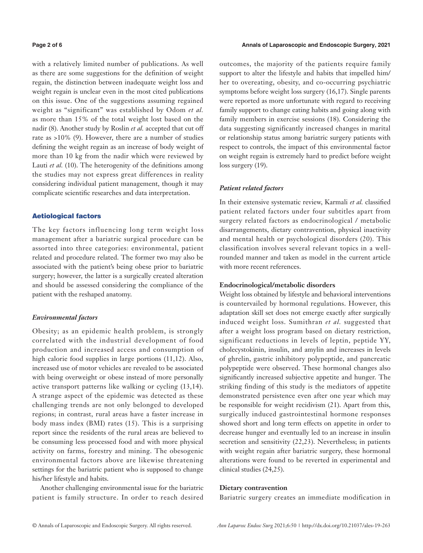with a relatively limited number of publications. As well as there are some suggestions for the definition of weight regain, the distinction between inadequate weight loss and weight regain is unclear even in the most cited publications on this issue. One of the suggestions assuming regained weight as "significant" was established by Odom *et al.* as more than 15% of the total weight lost based on the nadir (8). Another study by Roslin *et al.* accepted that cut off rate as >10% (9). However, there are a number of studies defining the weight regain as an increase of body weight of more than 10 kg from the nadir which were reviewed by Lauti *et al.* (10). The heterogenity of the definitions among the studies may not express great differences in reality considering individual patient management, though it may complicate scientific researches and data interpretation.

### Aetiological factors

The key factors influencing long term weight loss management after a bariatric surgical procedure can be assorted into three categories: environmental, patient related and procedure related. The former two may also be associated with the patient's being obese prior to bariatric surgery; however, the latter is a surgically created alteration and should be assessed considering the compliance of the patient with the reshaped anatomy.

# *Environmental factors*

Obesity; as an epidemic health problem, is strongly correlated with the industrial development of food production and increased access and consumption of high calorie food supplies in large portions (11,12). Also, increased use of motor vehicles are revealed to be associated with being overweight or obese instead of more personally active transport patterns like walking or cycling (13,14). A strange aspect of the epidemic was detected as these challenging trends are not only belonged to developed regions; in contrast, rural areas have a faster increase in body mass index (BMI) rates (15). This is a surprising report since the residents of the rural areas are believed to be consuming less processed food and with more physical activity on farms, forestry and mining. The obesogenic environmental factors above are likewise threatening settings for the bariatric patient who is supposed to change his/her lifestyle and habits.

Another challenging environmental issue for the bariatric patient is family structure. In order to reach desired outcomes, the majority of the patients require family support to alter the lifestyle and habits that impelled him/ her to overeating, obesity, and co-occurring psychiatric symptoms before weight loss surgery (16,17). Single parents were reported as more unfortunate with regard to receiving family support to change eating habits and going along with family members in exercise sessions (18). Considering the data suggesting significantly increased changes in marital or relationship status among bariatric surgery patients with respect to controls, the impact of this environmental factor on weight regain is extremely hard to predict before weight loss surgery (19).

# *Patient related factors*

In their extensive systematic review, Karmali *et al.* classified patient related factors under four subtitles apart from surgery related factors as endocrinological / metabolic disarrangements, dietary contravention, physical inactivity and mental health or psychological disorders (20). This classification involves several relevant topics in a wellrounded manner and taken as model in the current article with more recent references.

#### **Endocrinological/metabolic disorders**

Weight loss obtained by lifestyle and behavioral interventions is countervailed by hormonal regulations. However, this adaptation skill set does not emerge exactly after surgically induced weight loss. Sumithran *et al.* suggested that after a weight loss program based on dietary restriction, significant reductions in levels of leptin, peptide YY, cholecystokinin, insulin, and amylin and increases in levels of ghrelin, gastric inhibitory polypeptide, and pancreatic polypeptide were observed. These hormonal changes also significantly increased subjective appetite and hunger. The striking finding of this study is the mediators of appetite demonstrated persistence even after one year which may be responsible for weight recidivism (21). Apart from this, surgically induced gastrointestinal hormone responses showed short and long term effects on appetite in order to decrease hunger and eventually led to an increase in insulin secretion and sensitivity (22,23). Nevertheless; in patients with weight regain after bariatric surgery, these hormonal alterations were found to be reverted in experimental and clinical studies (24,25).

#### **Dietary contravention**

Bariatric surgery creates an immediate modification in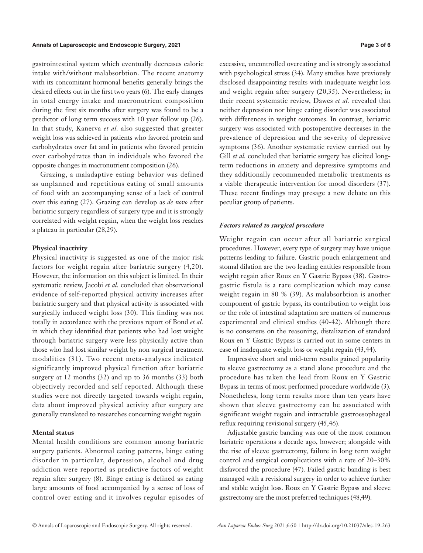#### **Annals of Laparoscopic and Endoscopic Surgery, 2021 Page 3 of 6**

gastrointestinal system which eventually decreases caloric intake with/without malabsorbtion. The recent anatomy with its concomitant hormonal benefits generally brings the desired effects out in the first two years (6). The early changes in total energy intake and macronutrient composition during the first six months after surgery was found to be a predictor of long term success with 10 year follow up (26). In that study, Kanerva *et al.* also suggested that greater weight loss was achieved in patients who favored protein and carbohydrates over fat and in patients who favored protein over carbohydrates than in individuals who favored the opposite changes in macronutrient composition (26).

Grazing, a maladaptive eating behavior was defined as unplanned and repetitious eating of small amounts of food with an accompanying sense of a lack of control over this eating (27). Grazing can develop as *de novo* after bariatric surgery regardless of surgery type and it is strongly correlated with weight regain, when the weight loss reaches a plateau in particular (28,29).

#### **Physical inactivity**

Physical inactivity is suggested as one of the major risk factors for weight regain after bariatric surgery (4,20). However, the information on this subject is limited. In their systematic review, Jacobi *et al.* concluded that observational evidence of self-reported physical activity increases after bariatric surgery and that physical activity is associated with surgically induced weight loss (30). This finding was not totally in accordance with the previous report of Bond *et al.* in which they identified that patients who had lost weight through bariatric surgery were less physically active than those who had lost similar weight by non surgical treatment modalities (31). Two recent meta-analyses indicated significantly improved physical function after bariatric surgery at 12 months (32) and up to 36 months (33) both objectively recorded and self reported. Although these studies were not directly targeted towards weight regain, data about improved physical activity after surgery are generally translated to researches concerning weight regain

# **Mental status**

Mental health conditions are common among bariatric surgery patients. Abnormal eating patterns, binge eating disorder in particular, depression, alcohol and drug addiction were reported as predictive factors of weight regain after surgery (8). Binge eating is defined as eating large amounts of food accompanied by a sense of loss of control over eating and it involves regular episodes of excessive, uncontrolled overeating and is strongly associated with psychological stress (34). Many studies have previously disclosed disappointing results with inadequate weight loss and weight regain after surgery (20,35). Nevertheless; in their recent systematic review, Dawes *et al.* revealed that neither depression nor binge eating disorder was associated with differences in weight outcomes. In contrast, bariatric surgery was associated with postoperative decreases in the prevalence of depression and the severity of depressive symptoms (36). Another systematic review carried out by Gill *et al.* concluded that bariatric surgery has elicited longterm reductions in anxiety and depressive symptoms and they additionally recommended metabolic treatments as a viable therapeutic intervention for mood disorders (37). These recent findings may presage a new debate on this peculiar group of patients.

#### *Factors related to surgical procedure*

Weight regain can occur after all bariatric surgical procedures. However, every type of surgery may have unique patterns leading to failure. Gastric pouch enlargement and stomal dilation are the two leading entities responsible from weight regain after Roux en Y Gastric Bypass (38). Gastrogastric fistula is a rare complication which may cause weight regain in 80 % (39). As malabsorbtion is another component of gastric bypass, its contribution to weight loss or the role of intestinal adaptation are matters of numerous experimental and clinical studies (40-42). Although there is no consensus on the reasoning, distalization of standard Roux en Y Gastric Bypass is carried out in some centers in case of inadequate weight loss or weight regain (43,44).

Impressive short and mid-term results gained popularity to sleeve gastrectomy as a stand alone procedure and the procedure has taken the lead from Roux en Y Gastric Bypass in terms of most performed procedure worldwide (3). Nonetheless, long term results more than ten years have shown that sleeve gastrectomy can be associated with significant weight regain and intractable gastroesophageal reflux requiring revisional surgery (45,46).

Adjustable gastric banding was one of the most common bariatric operations a decade ago, however; alongside with the rise of sleeve gastrectomy, failure in long term weight control and surgical complications with a rate of 20–30% disfavored the procedure (47). Failed gastric banding is best managed with a revisional surgery in order to achieve further and stable weight loss. Roux en Y Gastric Bypass and sleeve gastrectomy are the most preferred techniques (48,49).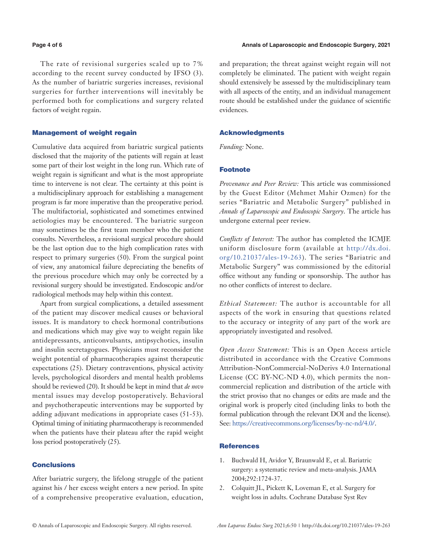#### **Page 4 of 6 Annals of Laparoscopic and Endoscopic Surgery, 2021 Annals of Laparoscopic and Endoscopic Surgery, 2021**

The rate of revisional surgeries scaled up to 7% according to the recent survey conducted by IFSO (3). As the number of bariatric surgeries increases, revisional surgeries for further interventions will inevitably be performed both for complications and surgery related factors of weight regain.

#### Management of weight regain

Cumulative data acquired from bariatric surgical patients disclosed that the majority of the patients will regain at least some part of their lost weight in the long run. Which rate of weight regain is significant and what is the most appropriate time to intervene is not clear. The certainty at this point is a multidisciplinary approach for establishing a management program is far more imperative than the preoperative period. The multifactorial, sophisticated and sometimes entwined aetiologies may be encountered. The bariatric surgeon may sometimes be the first team member who the patient consults. Nevertheless, a revisional surgical procedure should be the last option due to the high complication rates with respect to primary surgeries (50). From the surgical point of view, any anatomical failure depreciating the benefits of the previous procedure which may only be corrected by a revisional surgery should be investigated. Endoscopic and/or radiological methods may help within this context.

Apart from surgical complications, a detailed assessment of the patient may discover medical causes or behavioral issues. It is mandatory to check hormonal contributions and medications which may give way to weight regain like antidepressants, anticonvulsants, antipsychotics, insulin and insulin secretagogues. Physicians must reconsider the weight potential of pharmacotherapies against therapeutic expectations (25). Dietary contraventions, physical activity levels, psychological disorders and mental health problems should be reviewed (20). It should be kept in mind that *de novo*  mental issues may develop postoperatively. Behavioral and psychotherapeutic interventions may be supported by adding adjuvant medications in appropriate cases (51-53). Optimal timing of initiating pharmacotherapy is recommended when the patients have their plateau after the rapid weight loss period postoperatively (25).

### **Conclusions**

After bariatric surgery, the lifelong struggle of the patient against his / her excess weight enters a new period. In spite of a comprehensive preoperative evaluation, education, and preparation; the threat against weight regain will not completely be eliminated. The patient with weight regain should extensively be assessed by the multidisciplinary team with all aspects of the entity, and an individual management route should be established under the guidance of scientific evidences.

#### Acknowledgments

*Funding:* None.

# Footnote

*Provenance and Peer Review:* This article was commissioned by the Guest Editor (Mehmet Mahir Ozmen) for the series "Bariatric and Metabolic Surgery" published in *Annals of Laparoscopic and Endoscopic Surgery*. The article has undergone external peer review.

*Conflicts of Interest:* The author has completed the ICMJE uniform disclosure form (available at [http://dx.doi.](http://dx.doi.org/10.21037/ales-19-263) [org/10.21037/ales-19-263](http://dx.doi.org/10.21037/ales-19-263)). The series "Bariatric and Metabolic Surgery" was commissioned by the editorial office without any funding or sponsorship. The author has no other conflicts of interest to declare.

*Ethical Statement:* The author is accountable for all aspects of the work in ensuring that questions related to the accuracy or integrity of any part of the work are appropriately investigated and resolved.

*Open Access Statement:* This is an Open Access article distributed in accordance with the Creative Commons Attribution-NonCommercial-NoDerivs 4.0 International License (CC BY-NC-ND 4.0), which permits the noncommercial replication and distribution of the article with the strict proviso that no changes or edits are made and the original work is properly cited (including links to both the formal publication through the relevant DOI and the license). See: [https://creativecommons.org/licenses/by-nc-nd/4.0/.](https://creativecommons.org/licenses/by-nc-nd/4.0/)

#### **References**

- 1. Buchwald H, Avidor Y, Braunwald E, et al. Bariatric surgery: a systematic review and meta-analysis. JAMA 2004;292:1724-37.
- 2. Colquitt JL, Pickett K, Loveman E, et al. Surgery for weight loss in adults. Cochrane Database Syst Rev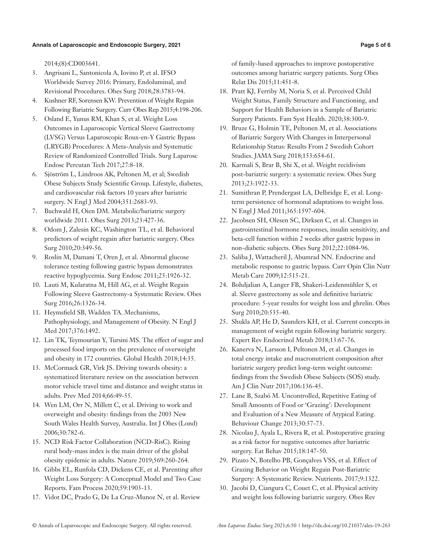2014;(8):CD003641.

- 3. Angrisani L, Santonicola A, Iovino P, et al. IFSO Worldwide Survey 2016: Primary, Endoluminal, and Revisional Procedures. Obes Surg 2018;28:3783-94.
- 4. Kushner RF, Sorensen KW. Prevention of Weight Regain Following Bariatric Surgery. Curr Obes Rep 2015;4:198-206.
- 5. Osland E, Yunus RM, Khan S, et al. Weight Loss Outcomes in Laparoscopic Vertical Sleeve Gastrectomy (LVSG) Versus Laparoscopic Roux-en-Y Gastric Bypass (LRYGB) Procedures: A Meta-Analysis and Systematic Review of Randomized Controlled Trials. Surg Laparosc Endosc Percutan Tech 2017;27:8-18.
- 6. Sjöström L, Lindroos AK, Peltonen M, et al; Swedish Obese Subjects Study Scientific Group. Lifestyle, diabetes, and cardiovascular risk factors 10 years after bariatric surgery. N Engl J Med 2004;351:2683-93.
- 7. Buchwald H, Oien DM. Metabolic/bariatric surgery worldwide 2011. Obes Surg 2013;23:427-36.
- 8. Odom J, Zalesin KC, Washington TL, et al. Behavioral predictors of weight regain after bariatric surgery. Obes Surg 2010;20:349-56.
- 9. Roslin M, Damani T, Oren J, et al. Abnormal glucose tolerance testing following gastric bypass demonstrates reactive hypoglycemia. Surg Endosc 2011;25:1926-32.
- 10. Lauti M, Kularatna M, Hill AG, et al. Weight Regain Following Sleeve Gastrectomy-a Systematic Review. Obes Surg 2016;26:1326-34.
- 11. Heymsfield SB, Wadden TA. Mechanisms, Pathophysiology, and Management of Obesity. N Engl J Med 2017;376:1492.
- 12. Lin TK, Teymourian Y, Tursini MS. The effect of sugar and processed food imports on the prevalence of overweight and obesity in 172 countries. Global Health 2018;14:35.
- 13. McCormack GR, Virk JS. Driving towards obesity: a systematized literature review on the association between motor vehicle travel time and distance and weight status in adults. Prev Med 2014;66:49-55.
- 14. Wen LM, Orr N, Millett C, et al. Driving to work and overweight and obesity: findings from the 2003 New South Wales Health Survey, Australia. Int J Obes (Lond) 2006;30:782-6.
- 15. NCD Risk Factor Collaboration (NCD-RisC). Rising rural body-mass index is the main driver of the global obesity epidemic in adults. Nature 2019;569:260-264.
- 16. Gibbs EL, Runfola CD, Dickens CE, et al. Parenting after Weight Loss Surgery: A Conceptual Model and Two Case Reports. Fam Process 2020;59:1903-13.
- 17. Vidot DC, Prado G, De La Cruz-Munoz N, et al. Review

of family-based approaches to improve postoperative outcomes among bariatric surgery patients. Surg Obes Relat Dis 2015;11:451-8.

- 18. Pratt KJ, Ferriby M, Noria S, et al. Perceived Child Weight Status, Family Structure and Functioning, and Support for Health Behaviors in a Sample of Bariatric Surgery Patients. Fam Syst Health. 2020;38:300-9.
- 19. Bruze G, Holmin TE, Peltonen M, et al. Associations of Bariatric Surgery With Changes in Interpersonal Relationship Status: Results From 2 Swedish Cohort Studies. JAMA Surg 2018;153:654-61.
- 20. Karmali S, Brar B, Shi X, et al. Weight recidivism post-bariatric surgery: a systematic review. Obes Surg 2013;23:1922-33.
- 21. Sumithran P, Prendergast LA, Delbridge E, et al. Longterm persistence of hormonal adaptations to weight loss. N Engl J Med 2011;365:1597-604.
- 22. Jacobsen SH, Olesen SC, Dirksen C, et al. Changes in gastrointestinal hormone responses, insulin sensitivity, and beta-cell function within 2 weeks after gastric bypass in non-diabetic subjects. Obes Surg 2012;22:1084-96.
- 23. Saliba J, Wattacheril J, Abumrad NN. Endocrine and metabolic response to gastric bypass. Curr Opin Clin Nutr Metab Care 2009;12:515-21.
- 24. Bohdjalian A, Langer FB, Shakeri-Leidenmühler S, et al. Sleeve gastrectomy as sole and definitive bariatric procedure: 5-year results for weight loss and ghrelin. Obes Surg 2010;20:535-40.
- 25. Shukla AP, He D, Saunders KH, et al. Current concepts in management of weight regain following bariatric surgery. Expert Rev Endocrinol Metab 2018;13:67-76.
- 26. Kanerva N, Larsson I, Peltonen M, et al. Changes in total energy intake and macronutrient composition after bariatric surgery predict long-term weight outcome: findings from the Swedish Obese Subjects (SOS) study. Am J Clin Nutr 2017;106:136-45.
- 27. Lane B, Szabó M. Uncontrolled, Repetitive Eating of Small Amounts of Food or 'Grazing': Development and Evaluation of a New Measure of Atypical Eating. Behaviour Change 2013;30:57-73.
- 28. Nicolau J, Ayala L, Rivera R, et al. Postoperative grazing as a risk factor for negative outcomes after bariatric surgery. Eat Behav 2015;18:147-50.
- 29. Pizato N, Botelho PB, Gonçalves VSS, et al. Effect of Grazing Behavior on Weight Regain Post-Bariatric Surgery: A Systematic Review. Nutrients. 2017;9:1322.
- 30. Jacobi D, Ciangura C, Couet C, et al. Physical activity and weight loss following bariatric surgery. Obes Rev